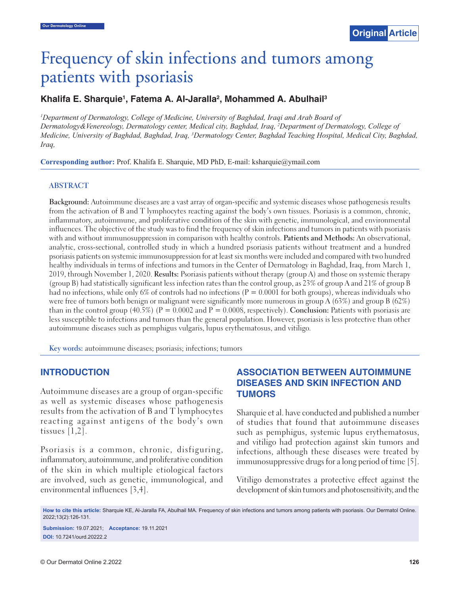# Frequency of skin infections and tumors among patients with psoriasis

## Khalifa E. Sharquie<sup>1</sup>, Fatema A. Al-Jaralla<sup>2</sup>, Mohammed A. Abulhail<sup>3</sup>

*1 Department of Dermatology, College of Medicine, University of Baghdad, Iraqi and Arab Board of Dermatology&Venereology, Dermatology center, Medical city, Baghdad, Iraq, 2 Department of Dermatology, College of Medicine, University of Baghdad, Baghdad, Iraq, 3 Dermatology Center, Baghdad Teaching Hospital, Medical City, Baghdad, Iraq,*

**Corresponding author:** Prof. Khalifa E. Sharquie, MD PhD, E-mail: ksharquie@ymail.com

#### **ABSTRACT**

**Background:** Autoimmune diseases are a vast array of organ-specific and systemic diseases whose pathogenesis results from the activation of B and T lymphocytes reacting against the body's own tissues. Psoriasis is a common, chronic, inflammatory, autoimmune, and proliferative condition of the skin with genetic, immunological, and environmental influences. The objective of the study was to find the frequency of skin infections and tumors in patients with psoriasis with and without immunosuppression in comparison with healthy controls. **Patients and Methods:** An observational, analytic, cross-sectional, controlled study in which a hundred psoriasis patients without treatment and a hundred psoriasis patients on systemic immunosuppression for at least six months were included and compared with two hundred healthy individuals in terms of infections and tumors in the Center of Dermatology in Baghdad, Iraq, from March 1, 2019, through November 1, 2020. **Results:** Psoriasis patients without therapy (group A) and those on systemic therapy (group B) had statistically significant less infection rates than the control group, as 23% of group A and 21% of group B had no infections, while only 6% of controls had no infections ( $P = 0.0001$  for both groups), whereas individuals who were free of tumors both benign or malignant were significantly more numerous in group A (63%) and group B (62%) than in the control group (40.5%) (P = 0.0002 and P = 0.0008, respectively). **Conclusion:** Patients with psoriasis are less susceptible to infections and tumors than the general population. However, psoriasis is less protective than other autoimmune diseases such as pemphigus vulgaris, lupus erythematosus, and vitiligo.

**Key words:** autoimmune diseases; psoriasis; infections; tumors

#### **INTRODUCTION**

Autoimmune diseases are a group of organ-specific as well as systemic diseases whose pathogenesis results from the activation of B and T lymphocytes reacting against antigens of the body's own tissues [1,2].

Psoriasis is a common, chronic, disfiguring, inflammatory, autoimmune, and proliferative condition of the skin in which multiple etiological factors are involved, such as genetic, immunological, and environmental influences [3,4].

# **ASSOCIATION BETWEEN AUTOIMMUNE DISEASES AND SKIN INFECTION AND TUMORS**

Sharquie et al. have conducted and published a number of studies that found that autoimmune diseases such as pemphigus, systemic lupus erythematosus, and vitiligo had protection against skin tumors and infections, although these diseases were treated by immunosuppressive drugs for a long period of time [5].

Vitiligo demonstrates a protective effect against the development of skin tumors and photosensitivity, and the

**How to cite this article:** Sharquie KE, Al-Jaralla FA, Abulhail MA. Frequency of skin infections and tumors among patients with psoriasis. Our Dermatol Online. 2022;13(2):126-131.

**Submission:** 19.07.2021; **Acceptance:** 19.11.2021 **DOI:** 10.7241/ourd.20222.2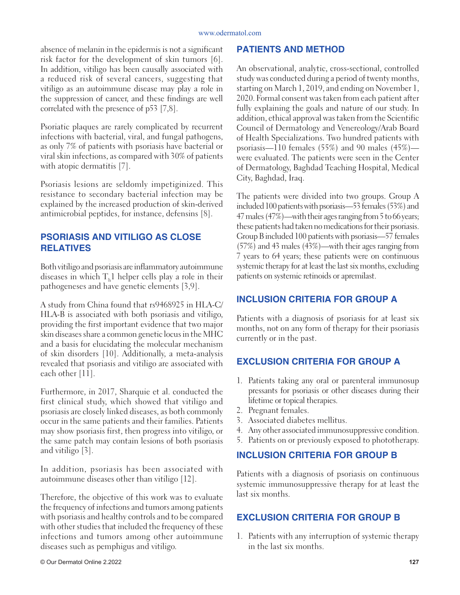#### www.odermatol.com

absence of melanin in the epidermis is not a significant risk factor for the development of skin tumors [6]. In addition, vitiligo has been causally associated with a reduced risk of several cancers, suggesting that vitiligo as an autoimmune disease may play a role in the suppression of cancer, and these findings are well correlated with the presence of p53 [7,8].

Psoriatic plaques are rarely complicated by recurrent infections with bacterial, viral, and fungal pathogens, as only 7% of patients with psoriasis have bacterial or viral skin infections, as compared with 30% of patients with atopic dermatitis [7].

Psoriasis lesions are seldomly impetiginized. This resistance to secondary bacterial infection may be explained by the increased production of skin-derived antimicrobial peptides, for instance, defensins [8].

# **PSORIASIS AND VITILIGO AS CLOSE RELATIVES**

Both vitiligo and psoriasis are inflammatory autoimmune diseases in which  $T_{\rm h}$ l helper cells play a role in their pathogeneses and have genetic elements [3,9].

A study from China found that rs9468925 in HLA-C/ HLA-B is associated with both psoriasis and vitiligo, providing the first important evidence that two major skin diseases share a common genetic locus in the MHC and a basis for elucidating the molecular mechanism of skin disorders [10]. Additionally, a meta-analysis revealed that psoriasis and vitiligo are associated with each other [11].

Furthermore, in 2017, Sharquie et al. conducted the first clinical study, which showed that vitiligo and psoriasis are closely linked diseases, as both commonly occur in the same patients and their families. Patients may show psoriasis first, then progress into vitiligo, or the same patch may contain lesions of both psoriasis and vitiligo [3].

In addition, psoriasis has been associated with autoimmune diseases other than vitiligo [12].

Therefore, the objective of this work was to evaluate the frequency of infections and tumors among patients with psoriasis and healthy controls and to be compared with other studies that included the frequency of these infections and tumors among other autoimmune diseases such as pemphigus and vitiligo.

#### **PATIENTS AND METHOD**

An observational, analytic, cross-sectional, controlled study was conducted during a period of twenty months, starting on March 1, 2019, and ending on November 1, 2020. Formal consent was taken from each patient after fully explaining the goals and nature of our study. In addition, ethical approval was taken from the Scientific Council of Dermatology and Venereology/Arab Board of Health Specializations. Two hundred patients with psoriasis—110 females (55%) and 90 males (45%) were evaluated. The patients were seen in the Center of Dermatology, Baghdad Teaching Hospital, Medical City, Baghdad, Iraq.

The patients were divided into two groups. Group A included 100 patients with psoriasis—53 females (53%) and 47 males (47%)—with their ages ranging from 5 to 66 years; these patients had taken no medications for their psoriasis. Group B included 100 patients with psoriasis—57 females (57%) and 43 males (43%)—with their ages ranging from 7 years to 64 years; these patients were on continuous systemic therapy for at least the last six months, excluding patients on systemic retinoids or apremilast.

## **INCLUSION CRITERIA FOR GROUP A**

Patients with a diagnosis of psoriasis for at least six months, not on any form of therapy for their psoriasis currently or in the past.

# **EXCLUSION CRITERIA FOR GROUP A**

- 1. Patients taking any oral or parenteral immunosup pressants for psoriasis or other diseases during their lifetime or topical therapies.
- 2. Pregnant females.
- 3. Associated diabetes mellitus.
- 4. Any other associated immunosuppressive condition.
- 5. Patients on or previously exposed to phototherapy.

# **INCLUSION CRITERIA FOR GROUP B**

Patients with a diagnosis of psoriasis on continuous systemic immunosuppressive therapy for at least the last six months.

# **EXCLUSION CRITERIA FOR GROUP B**

1. Patients with any interruption of systemic therapy in the last six months.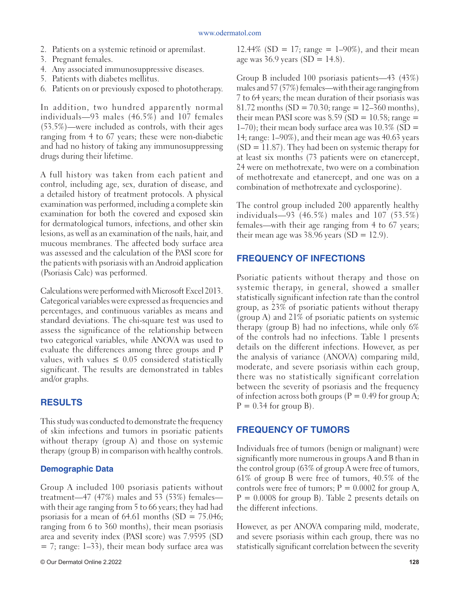- 2. Patients on a systemic retinoid or apremilast.
- 3. Pregnant females.
- 4. Any associated immunosuppressive diseases.
- 5. Patients with diabetes mellitus.
- 6. Patients on or previously exposed to phototherapy.

In addition, two hundred apparently normal individuals—93 males (46.5%) and 107 females (53.5%)—were included as controls, with their ages ranging from 4 to 67 years; these were non-diabetic and had no history of taking any immunosuppressing drugs during their lifetime.

A full history was taken from each patient and control, including age, sex, duration of disease, and a detailed history of treatment protocols. A physical examination was performed, including a complete skin examination for both the covered and exposed skin for dermatological tumors, infections, and other skin lesions, as well as an examination of the nails, hair, and mucous membranes. The affected body surface area was assessed and the calculation of the PASI score for the patients with psoriasis with an Android application (Psoriasis Calc) was performed.

Calculations were performed with Microsoft Excel 2013. Categorical variables were expressed as frequencies and percentages, and continuous variables as means and standard deviations. The chi-square test was used to assess the significance of the relationship between two categorical variables, while ANOVA was used to evaluate the differences among three groups and P values, with values  $\leq 0.05$  considered statistically significant. The results are demonstrated in tables and/or graphs.

### **RESULTS**

This study was conducted to demonstrate the frequency of skin infections and tumors in psoriatic patients without therapy (group A) and those on systemic therapy (group B) in comparison with healthy controls.

#### **Demographic Data**

Group A included 100 psoriasis patients without treatment—47 (47%) males and 53 (53%) females with their age ranging from 5 to 66 years; they had had psoriasis for a mean of  $64.61$  months  $(SD = 75.046;$ ranging from 6 to 360 months), their mean psoriasis area and severity index (PASI score) was 7.9595 (SD  $= 7$ ; range: 1–33), their mean body surface area was

12.44% (SD = 17; range = 1-90%), and their mean age was  $36.9$  years  $(SD = 14.8)$ .

Group B included 100 psoriasis patients—43 (43%) males and 57 (57%) females—with their age ranging from 7 to 64 years; the mean duration of their psoriasis was 81.72 months (SD = 70.30; range =  $12-360$  months), their mean PASI score was  $8.59$  (SD = 10.58; range =  $1-70$ ); their mean body surface area was  $10.3\%$  (SD = 14; range: 1–90%), and their mean age was 40.63 years  $(SD = 11.87)$ . They had been on systemic therapy for at least six months (73 patients were on etanercept, 24 were on methotrexate, two were on a combination of methotrexate and etanercept, and one was on a combination of methotrexate and cyclosporine).

The control group included 200 apparently healthy individuals—93 (46.5%) males and 107 (53.5%) females—with their age ranging from 4 to 67 years; their mean age was 38.96 years  $(SD = 12.9)$ .

#### **FREQUENCY OF INFECTIONS**

Psoriatic patients without therapy and those on systemic therapy, in general, showed a smaller statistically significant infection rate than the control group, as 23% of psoriatic patients without therapy (group A) and 21% of psoriatic patients on systemic therapy (group B) had no infections, while only 6% of the controls had no infections. Table 1 presents details on the different infections. However, as per the analysis of variance (ANOVA) comparing mild, moderate, and severe psoriasis within each group, there was no statistically significant correlation between the severity of psoriasis and the frequency of infection across both groups ( $P = 0.49$  for group A;  $P = 0.34$  for group B).

#### **FREQUENCY OF TUMORS**

Individuals free of tumors (benign or malignant) were significantly more numerous in groups A and B than in the control group (63% of group A were free of tumors, 61% of group B were free of tumors, 40.5% of the controls were free of tumors;  $P = 0.0002$  for group A,  $P = 0.0008$  for group B). Table 2 presents details on the different infections.

However, as per ANOVA comparing mild, moderate, and severe psoriasis within each group, there was no statistically significant correlation between the severity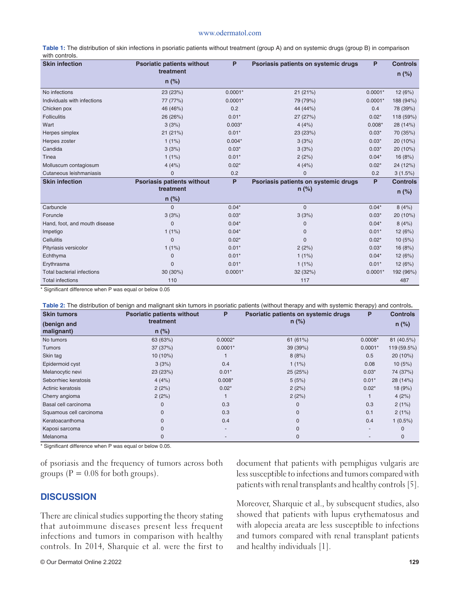#### www.odermatol.com

| Table 1: The distribution of skin infections in psoriatic patients without treatment (group A) and on systemic drugs (group B) in comparison |  |
|----------------------------------------------------------------------------------------------------------------------------------------------|--|
| with controls.                                                                                                                               |  |

| <b>Skin infection</b>             | <b>Psoriatic patients without</b><br>treatment | P         | Psoriasis patients on systemic drugs | P         | <b>Controls</b> |
|-----------------------------------|------------------------------------------------|-----------|--------------------------------------|-----------|-----------------|
|                                   |                                                |           |                                      |           | $n$ (%)         |
|                                   | $n$ (%)                                        |           |                                      |           |                 |
| No infections                     | 23 (23%)                                       | $0.0001*$ | 21 (21%)                             | $0.0001*$ | 12(6%)          |
| Individuals with infections       | 77 (77%)                                       | $0.0001*$ | 79 (79%)                             | $0.0001*$ | 188 (94%)       |
| Chicken pox                       | 46 (46%)                                       | 0.2       | 44 (44%)                             | 0.4       | 78 (39%)        |
| <b>Folliculitis</b>               | 26 (26%)                                       | $0.01*$   | 27 (27%)                             | $0.02*$   | 118 (59%)       |
| Wart                              | 3(3%)                                          | $0.003*$  | 4(4%)                                | $0.008*$  | 28 (14%)        |
| Herpes simplex                    | 21 (21%)                                       | $0.01*$   | 23 (23%)                             | $0.03*$   | 70 (35%)        |
| Herpes zoster                     | $1(1\%)$                                       | $0.004*$  | 3(3%)                                | $0.03*$   | 20 (10%)        |
| Candida                           | 3(3%)                                          | $0.03*$   | 3(3%)                                | $0.03*$   | 20 (10%)        |
| Tinea                             | $1(1\%)$                                       | $0.01*$   | 2(2%)                                | $0.04*$   | 16 (8%)         |
| Molluscum contagiosum             | 4(4%)                                          | $0.02*$   | 4(4%)                                | $0.02*$   | 24 (12%)        |
| Cutaneous leishmaniasis           | $\mathbf{0}$                                   | 0.2       | $\mathbf{0}$                         | 0.2       | 3(1.5%)         |
| <b>Skin infection</b>             | <b>Psoriasis patients without</b>              | P         | Psoriasis patients on systemic drugs | P         | <b>Controls</b> |
|                                   | treatment                                      |           | $n$ (%)                              |           | $n$ (%)         |
|                                   | $n$ (%)                                        |           |                                      |           |                 |
| Carbuncle                         | $\Omega$                                       | $0.04*$   | $\mathbf{0}$                         | $0.04*$   | 8(4%)           |
| Foruncle                          | 3(3%)                                          | $0.03*$   | 3(3%)                                | $0.03*$   | 20 (10%)        |
| Hand, foot, and mouth disease     | $\mathbf{0}$                                   | $0.04*$   | 0                                    | $0.04*$   | 8(4%)           |
| Impetigo                          | $1(1\%)$                                       | $0.04*$   | 0                                    | $0.01*$   | 12 (6%)         |
| <b>Cellulitis</b>                 | $\Omega$                                       | $0.02*$   | $\Omega$                             | $0.02*$   | 10(5%)          |
| Pityriasis versicolor             | $1(1\%)$                                       | $0.01*$   | 2(2%)                                | $0.03*$   | 16 (8%)         |
| Echthyma                          | $\mathbf 0$                                    | $0.01*$   | 1(1%)                                | $0.04*$   | 12 (6%)         |
| Erythrasma                        | $\Omega$                                       | $0.01*$   | $1(1\%)$                             | $0.01*$   | 12(6%)          |
| <b>Total bacterial infections</b> | 30 (30%)                                       | $0.0001*$ | 32 (32%)                             | $0.0001*$ | 192 (96%)       |
| <b>Total infections</b>           | 110                                            |           | 117                                  |           | 487             |

\* Significant difference when P was equal or below 0.05

**Table 2:** The distribution of benign and malignant skin tumors in psoriatic patients (without therapy and with systemic therapy) and controls**.**

| <b>Skin tumors</b>      | <b>Psoriatic patients without</b> | P                        | Psoriatic patients on systemic drugs | P         | <b>Controls</b> |
|-------------------------|-----------------------------------|--------------------------|--------------------------------------|-----------|-----------------|
| (benign and             | treatment                         |                          | $n$ (%)                              |           | $n$ (%)         |
| malignant)              | $n$ (%)                           |                          |                                      |           |                 |
| No tumors               | 63 (63%)                          | $0.0002*$                | 61(61%)                              | $0.0008*$ | 81 (40.5%)      |
| <b>Tumors</b>           | 37 (37%)                          | $0.0001*$                | 39 (39%)                             | $0.0001*$ | 119 (59.5%)     |
| Skin tag                | $10(10\%)$                        |                          | 8(8%)                                | 0.5       | 20(10%)         |
| Epidermoid cyst         | 3(3%)                             | 0.4                      | $1(1\%)$                             | 0.08      | 10(5%)          |
| Melanocytic nevi        | 23 (23%)                          | $0.01*$                  | 25 (25%)                             | $0.03*$   | 74 (37%)        |
| Seborrhiec keratosis    | 4(4%)                             | $0.008*$                 | 5(5%)                                | $0.01*$   | 28 (14%)        |
| Actinic keratosis       | 2(2%)                             | $0.02*$                  | 2(2%)                                | $0.02*$   | 18(9%)          |
| Cherry angioma          | 2(2%)                             |                          | 2(2%)                                |           | 4(2%)           |
| Basal cell carcinoma    | 0                                 | 0.3                      | $\mathbf 0$                          | 0.3       | 2(1%)           |
| Squamous cell carcinoma | $\Omega$                          | 0.3                      | $\Omega$                             | 0.1       | 2(1%)           |
| Keratoacanthoma         |                                   | 0.4                      | $\Omega$                             | 0.4       | $1(0.5\%)$      |
| Kaposi sarcoma          | 0                                 | $\overline{\phantom{a}}$ | $\mathbf{0}$                         |           | $\Omega$        |
| Melanoma                | $\mathbf{0}$                      | $\overline{\phantom{a}}$ | $\mathbf 0$                          |           | $\mathbf 0$     |

\* Significant difference when P was equal or below 0.05.

of psoriasis and the frequency of tumors across both groups ( $P = 0.08$  for both groups).

## **DISCUSSION**

There are clinical studies supporting the theory stating that autoimmune diseases present less frequent infections and tumors in comparison with healthy controls. In 2014, Sharquie et al. were the first to document that patients with pemphigus vulgaris are less susceptible to infections and tumors compared with patients with renal transplants and healthy controls [5].

Moreover, Sharquie et al., by subsequent studies, also showed that patients with lupus erythematosus and with alopecia areata are less susceptible to infections and tumors compared with renal transplant patients and healthy individuals [1].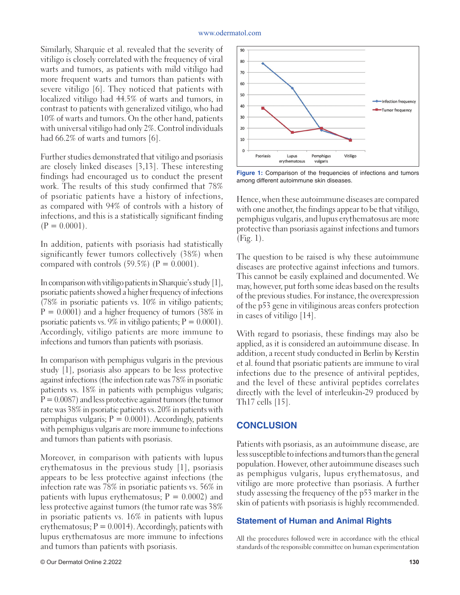#### www.odermatol.com

Similarly, Sharquie et al. revealed that the severity of vitiligo is closely correlated with the frequency of viral warts and tumors, as patients with mild vitiligo had more frequent warts and tumors than patients with severe vitiligo [6]. They noticed that patients with localized vitiligo had 44.5% of warts and tumors, in contrast to patients with generalized vitiligo, who had 10% of warts and tumors. On the other hand, patients with universal vitiligo had only 2%. Control individuals had 66.2% of warts and tumors [6].

Further studies demonstrated that vitiligo and psoriasis are closely linked diseases [3,13]. These interesting findings had encouraged us to conduct the present work. The results of this study confirmed that 78% of psoriatic patients have a history of infections, as compared with 94% of controls with a history of infections, and this is a statistically significant finding  $(P = 0.0001)$ .

In addition, patients with psoriasis had statistically significantly fewer tumors collectively (38%) when compared with controls  $(59.5\%)$   $(P = 0.0001)$ .

In comparison with vitiligo patients in Sharquie's study [1], psoriatic patients showed a higher frequency of infections (78% in psoriatic patients vs. 10% in vitiligo patients;  $P = 0.0001$ ) and a higher frequency of tumors (38% in psoriatic patients vs.  $9\%$  in vitiligo patients;  $P = 0.0001$ ). Accordingly, vitiligo patients are more immune to infections and tumors than patients with psoriasis.

In comparison with pemphigus vulgaris in the previous study [1], psoriasis also appears to be less protective against infections (the infection rate was 78% in psoriatic patients vs. 18% in patients with pemphigus vulgaris;  $P = 0.0087$ ) and less protective against tumors (the tumor rate was 38% in psoriatic patients vs. 20% in patients with pemphigus vulgaris;  $P = 0.0001$ ). Accordingly, patients with pemphigus vulgaris are more immune to infections and tumors than patients with psoriasis.

Moreover, in comparison with patients with lupus erythematosus in the previous study [1], psoriasis appears to be less protective against infections (the infection rate was 78% in psoriatic patients vs. 56% in patients with lupus erythematosus;  $P = 0.0002$ ) and less protective against tumors (the tumor rate was 38% in psoriatic patients vs. 16% in patients with lupus erythematosus;  $P = 0.0014$ ). Accordingly, patients with lupus erythematosus are more immune to infections and tumors than patients with psoriasis.



**Figure 1:** Comparison of the frequencies of infections and tumors among different autoimmune skin diseases.

Hence, when these autoimmune diseases are compared with one another, the findings appear to be that vitiligo, pemphigus vulgaris, and lupus erythematosus are more protective than psoriasis against infections and tumors (Fig. 1).

The question to be raised is why these autoimmune diseases are protective against infections and tumors. This cannot be easily explained and documented. We may, however, put forth some ideas based on the results of the previous studies. For instance, the overexpression of the p53 gene in vitiliginous areas confers protection in cases of vitiligo [14].

With regard to psoriasis, these findings may also be applied, as it is considered an autoimmune disease. In addition, a recent study conducted in Berlin by Kerstin et al. found that psoriatic patients are immune to viral infections due to the presence of antiviral peptides, and the level of these antiviral peptides correlates directly with the level of interleukin-29 produced by Th17 cells [15].

## **CONCLUSION**

Patients with psoriasis, as an autoimmune disease, are less susceptible to infections and tumors than the general population. However, other autoimmune diseases such as pemphigus vulgaris, lupus erythematosus, and vitiligo are more protective than psoriasis. A further study assessing the frequency of the p53 marker in the skin of patients with psoriasis is highly recommended.

#### **Statement of Human and Animal Rights**

All the procedures followed were in accordance with the ethical standards of the responsible committee on human experimentation